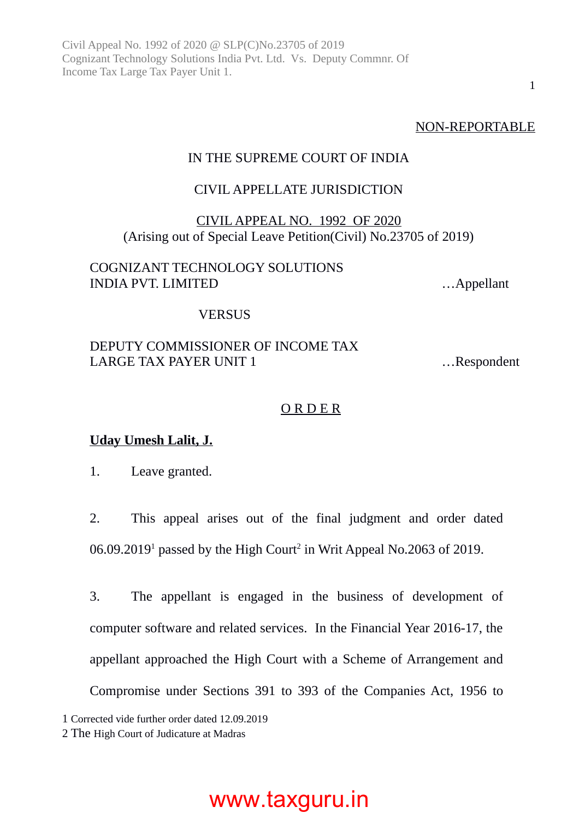NON-REPORTABLE

1

#### IN THE SUPREME COURT OF INDIA

#### CIVIL APPELLATE JURISDICTION

#### CIVIL APPEAL NO. 1992 OF 2020 (Arising out of Special Leave Petition(Civil) No.23705 of 2019)

#### COGNIZANT TECHNOLOGY SOLUTIONS INDIA PVT. LIMITED …Appellant

#### **VERSUS**

#### DEPUTY COMMISSIONER OF INCOME TAX LARGE TAX PAYER UNIT 1 ... Respondent

#### O R D E R

#### **Uday Umesh Lalit, J.**

1. Leave granted.

2. This appeal arises out of the final judgment and order dated 06.09.20[1](#page-0-0)9<sup>1</sup> passed by the High Court<sup>[2](#page-0-1)</sup> in Writ Appeal No.2063 of 2019.

3. The appellant is engaged in the business of development of computer software and related services. In the Financial Year 2016-17, the appellant approached the High Court with a Scheme of Arrangement and Compromise under Sections 391 to 393 of the Companies Act, 1956 to

<span id="page-0-0"></span>1 Corrected vide further order dated 12.09.2019

<span id="page-0-1"></span><sup>2</sup> The High Court of Judicature at Madras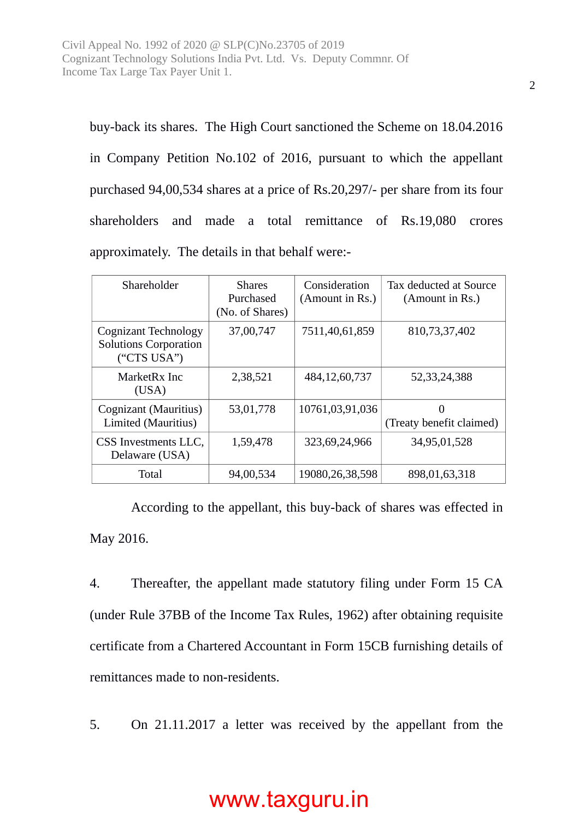buy-back its shares. The High Court sanctioned the Scheme on 18.04.2016 in Company Petition No.102 of 2016, pursuant to which the appellant purchased 94,00,534 shares at a price of Rs.20,297/- per share from its four shareholders and made a total remittance of Rs.19,080 crores approximately. The details in that behalf were:-

| Shareholder                                                         | <b>Shares</b><br>Purchased<br>(No. of Shares) | Consideration<br>(Amount in Rs.) | Tax deducted at Source<br>(Amount in Rs.) |
|---------------------------------------------------------------------|-----------------------------------------------|----------------------------------|-------------------------------------------|
| Cognizant Technology<br><b>Solutions Corporation</b><br>("CTS USA") | 37,00,747                                     | 7511,40,61,859                   | 810,73,37,402                             |
| MarketRx Inc<br>(USA)                                               | 2,38,521                                      | 484, 12, 60, 737                 | 52, 33, 24, 388                           |
| Cognizant (Mauritius)<br>Limited (Mauritius)                        | 53,01,778                                     | 10761,03,91,036                  | 0<br>(Treaty benefit claimed)             |
| CSS Investments LLC,<br>Delaware (USA)                              | 1,59,478                                      | 323,69,24,966                    | 34,95,01,528                              |
| Total                                                               | 94,00,534                                     | 19080, 26, 38, 598               | 898,01,63,318                             |

According to the appellant, this buy-back of shares was effected in May 2016.

4. Thereafter, the appellant made statutory filing under Form 15 CA (under Rule 37BB of the Income Tax Rules, 1962) after obtaining requisite certificate from a Chartered Accountant in Form 15CB furnishing details of remittances made to non-residents.

5. On 21.11.2017 a letter was received by the appellant from the

2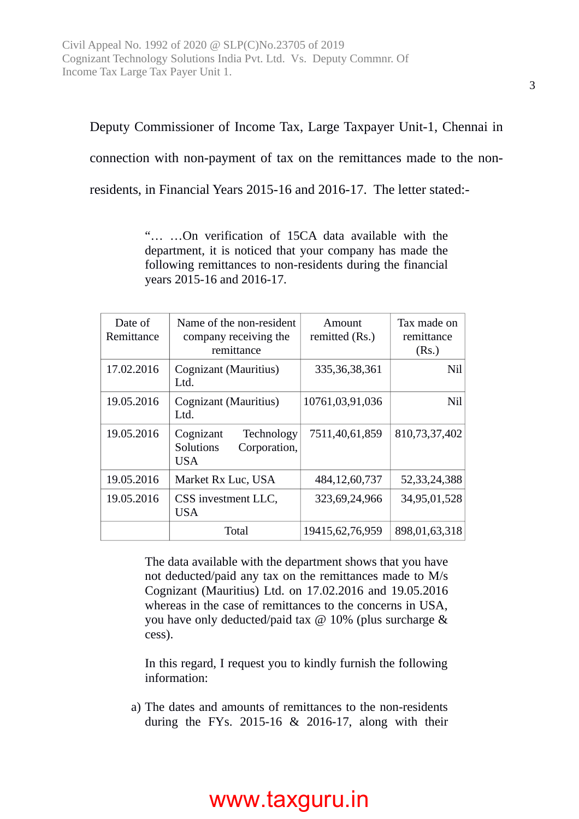Deputy Commissioner of Income Tax, Large Taxpayer Unit-1, Chennai in connection with non-payment of tax on the remittances made to the nonresidents, in Financial Years 2015-16 and 2016-17. The letter stated:-

> "… …On verification of 15CA data available with the department, it is noticed that your company has made the following remittances to non-residents during the financial years 2015-16 and 2016-17.

| Date of<br>Remittance | Name of the non-resident<br>company receiving the<br>remittance    | Amount<br>remitted (Rs.) | Tax made on<br>remittance<br>(Rs.) |
|-----------------------|--------------------------------------------------------------------|--------------------------|------------------------------------|
| 17.02.2016            | Cognizant (Mauritius)<br>Ltd.                                      | 335, 36, 38, 361         | Nil                                |
| 19.05.2016            | <b>Cognizant (Mauritius)</b><br>Ltd.                               | 10761,03,91,036          | Nil                                |
| 19.05.2016            | Cognizant<br>Technology<br>Solutions<br>Corporation,<br><b>USA</b> | 7511,40,61,859           | 810,73,37,402                      |
| 19.05.2016            | Market Rx Luc, USA                                                 | 484,12,60,737            | 52, 33, 24, 388                    |
| 19.05.2016            | CSS investment LLC,<br>USA                                         | 323,69,24,966            | 34,95,01,528                       |
|                       | Total                                                              | 19415,62,76,959          | 898,01,63,318                      |

The data available with the department shows that you have not deducted/paid any tax on the remittances made to M/s Cognizant (Mauritius) Ltd. on 17.02.2016 and 19.05.2016 whereas in the case of remittances to the concerns in USA, you have only deducted/paid tax  $\omega$  10% (plus surcharge & cess).

In this regard, I request you to kindly furnish the following information:

a) The dates and amounts of remittances to the non-residents during the FYs. 2015-16 & 2016-17, along with their

#### 3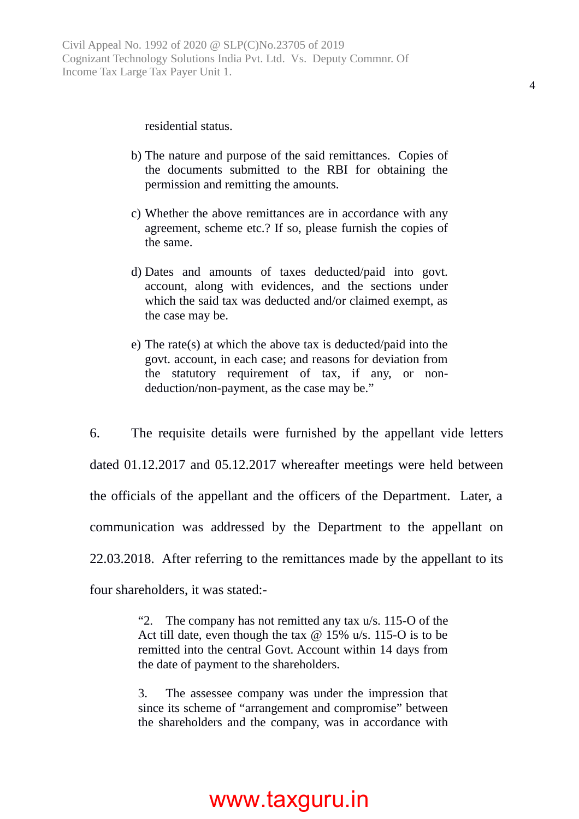#### residential status.

- b) The nature and purpose of the said remittances. Copies of the documents submitted to the RBI for obtaining the permission and remitting the amounts.
- c) Whether the above remittances are in accordance with any agreement, scheme etc.? If so, please furnish the copies of the same.
- d) Dates and amounts of taxes deducted/paid into govt. account, along with evidences, and the sections under which the said tax was deducted and/or claimed exempt, as the case may be.
- e) The rate(s) at which the above tax is deducted/paid into the govt. account, in each case; and reasons for deviation from the statutory requirement of tax, if any, or nondeduction/non-payment, as the case may be."

6. The requisite details were furnished by the appellant vide letters dated 01.12.2017 and 05.12.2017 whereafter meetings were held between the officials of the appellant and the officers of the Department. Later, a communication was addressed by the Department to the appellant on 22.03.2018. After referring to the remittances made by the appellant to its four shareholders, it was stated:-

> "2. The company has not remitted any tax u/s. 115-O of the Act till date, even though the tax  $\omega$  15% u/s. 115-O is to be remitted into the central Govt. Account within 14 days from the date of payment to the shareholders.

> 3. The assessee company was under the impression that since its scheme of "arrangement and compromise" between the shareholders and the company, was in accordance with

#### 4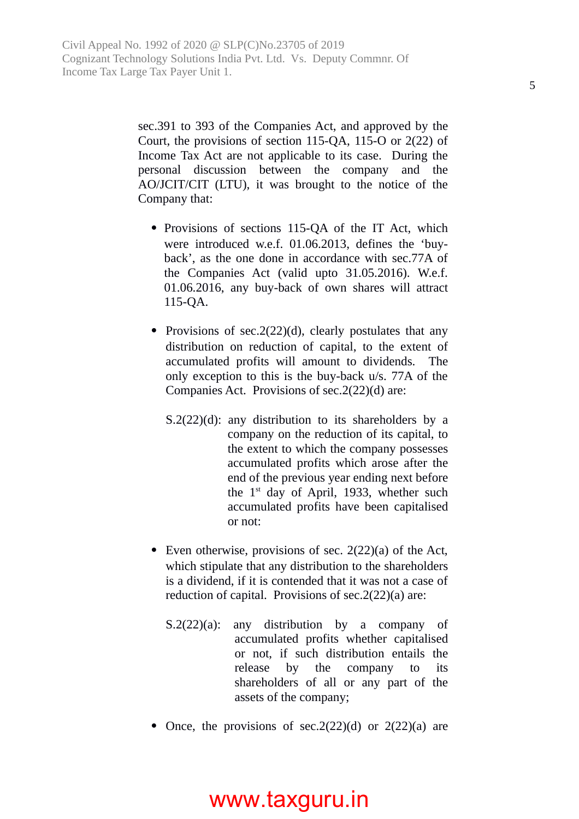sec.391 to 393 of the Companies Act, and approved by the Court, the provisions of section 115-QA, 115-O or 2(22) of Income Tax Act are not applicable to its case. During the personal discussion between the company and the AO/JCIT/CIT (LTU), it was brought to the notice of the Company that:

- Provisions of sections 115-QA of the IT Act, which were introduced w.e.f. 01.06.2013, defines the 'buyback', as the one done in accordance with sec.77A of the Companies Act (valid upto 31.05.2016). W.e.f. 01.06.2016, any buy-back of own shares will attract 115-QA.
- Provisions of sec.2(22)(d), clearly postulates that any distribution on reduction of capital, to the extent of accumulated profits will amount to dividends. The only exception to this is the buy-back u/s. 77A of the Companies Act. Provisions of sec.2(22)(d) are:
	- S.2(22)(d): any distribution to its shareholders by a company on the reduction of its capital, to the extent to which the company possesses accumulated profits which arose after the end of the previous year ending next before the  $1<sup>st</sup>$  day of April, 1933, whether such accumulated profits have been capitalised or not:
- Even otherwise, provisions of sec. 2(22)(a) of the Act, which stipulate that any distribution to the shareholders is a dividend, if it is contended that it was not a case of reduction of capital. Provisions of sec.2(22)(a) are:
	- S.2(22)(a): any distribution by a company of accumulated profits whether capitalised or not, if such distribution entails the release by the company to its shareholders of all or any part of the assets of the company;
- Once, the provisions of sec.  $2(22)(d)$  or  $2(22)(a)$  are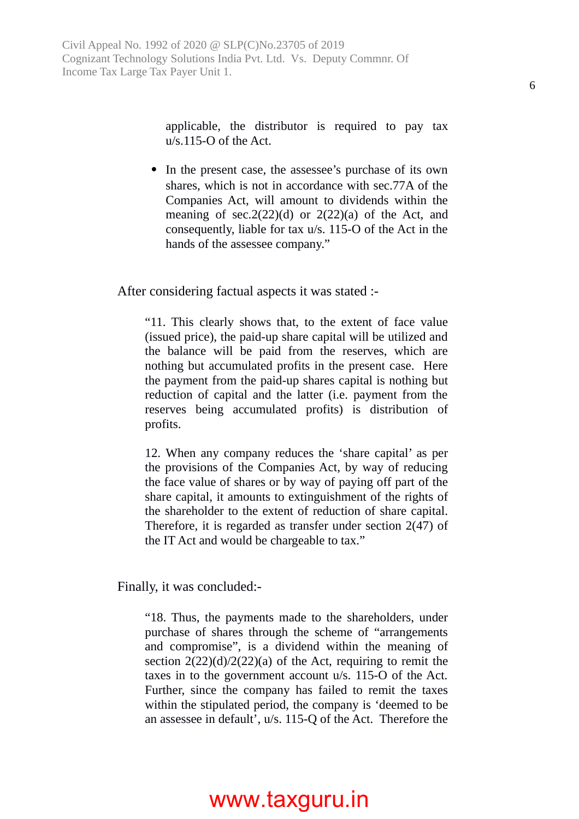applicable, the distributor is required to pay tax u/s.115-O of the Act.

• In the present case, the assessee's purchase of its own shares, which is not in accordance with sec.77A of the Companies Act, will amount to dividends within the meaning of sec.  $2(22)(d)$  or  $2(22)(a)$  of the Act, and consequently, liable for tax u/s. 115-O of the Act in the hands of the assessee company."

After considering factual aspects it was stated :-

"11. This clearly shows that, to the extent of face value (issued price), the paid-up share capital will be utilized and the balance will be paid from the reserves, which are nothing but accumulated profits in the present case. Here the payment from the paid-up shares capital is nothing but reduction of capital and the latter (i.e. payment from the reserves being accumulated profits) is distribution of profits.

12. When any company reduces the 'share capital' as per the provisions of the Companies Act, by way of reducing the face value of shares or by way of paying off part of the share capital, it amounts to extinguishment of the rights of the shareholder to the extent of reduction of share capital. Therefore, it is regarded as transfer under section 2(47) of the IT Act and would be chargeable to tax."

Finally, it was concluded:-

"18. Thus, the payments made to the shareholders, under purchase of shares through the scheme of "arrangements and compromise", is a dividend within the meaning of section  $2(22)(d)/2(22)(a)$  of the Act, requiring to remit the taxes in to the government account u/s. 115-O of the Act. Further, since the company has failed to remit the taxes within the stipulated period, the company is 'deemed to be an assessee in default', u/s. 115-Q of the Act. Therefore the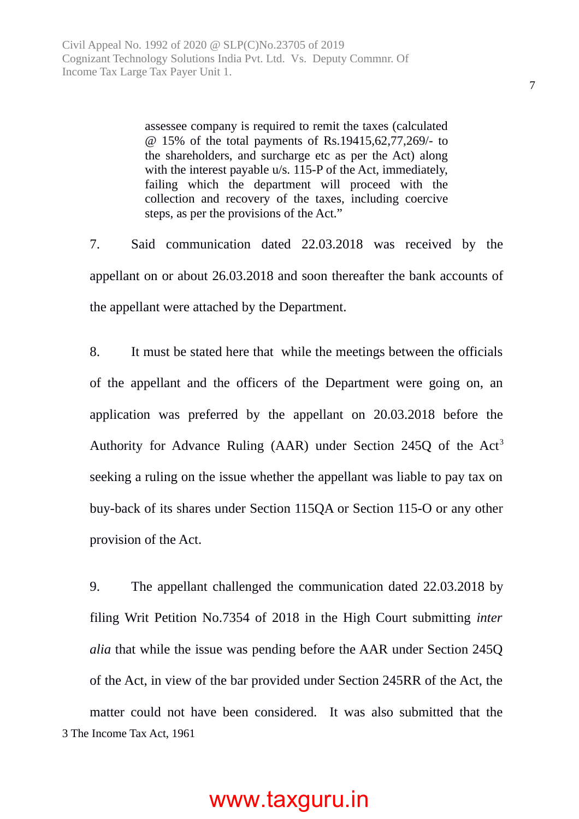assessee company is required to remit the taxes (calculated @ 15% of the total payments of Rs.19415,62,77,269/- to the shareholders, and surcharge etc as per the Act) along with the interest payable u/s. 115-P of the Act, immediately, failing which the department will proceed with the collection and recovery of the taxes, including coercive steps, as per the provisions of the Act."

7. Said communication dated 22.03.2018 was received by the appellant on or about 26.03.2018 and soon thereafter the bank accounts of the appellant were attached by the Department.

8. It must be stated here that while the meetings between the officials of the appellant and the officers of the Department were going on, an application was preferred by the appellant on 20.03.2018 before the Authority for Advance Ruling (AAR) under Section 245Q of the Act<sup>[3](#page-6-0)</sup> seeking a ruling on the issue whether the appellant was liable to pay tax on buy-back of its shares under Section 115QA or Section 115-O or any other provision of the Act.

<span id="page-6-0"></span>9. The appellant challenged the communication dated 22.03.2018 by filing Writ Petition No.7354 of 2018 in the High Court submitting *inter alia* that while the issue was pending before the AAR under Section 245Q of the Act, in view of the bar provided under Section 245RR of the Act, the matter could not have been considered. It was also submitted that the 3 The Income Tax Act, 1961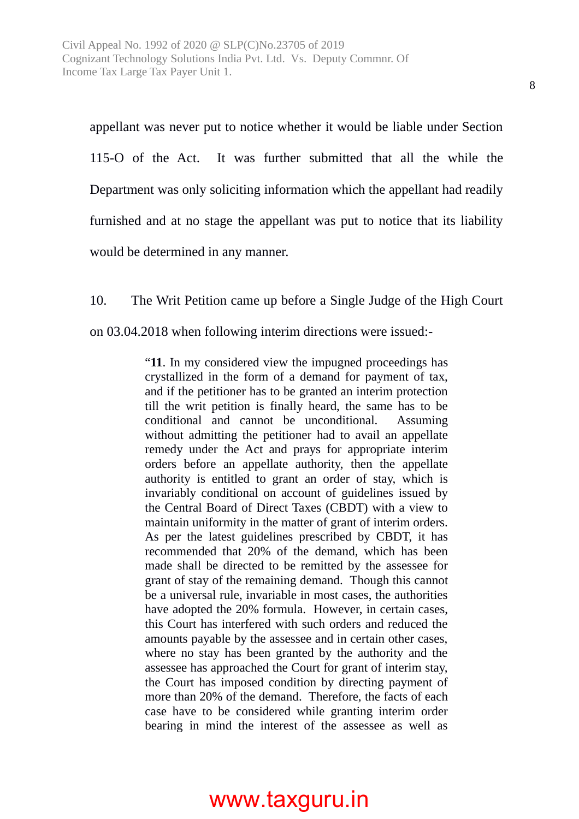appellant was never put to notice whether it would be liable under Section 115-O of the Act. It was further submitted that all the while the Department was only soliciting information which the appellant had readily furnished and at no stage the appellant was put to notice that its liability would be determined in any manner.

10. The Writ Petition came up before a Single Judge of the High Court on 03.04.2018 when following interim directions were issued:-

> "**11**. In my considered view the impugned proceedings has crystallized in the form of a demand for payment of tax, and if the petitioner has to be granted an interim protection till the writ petition is finally heard, the same has to be conditional and cannot be unconditional. Assuming without admitting the petitioner had to avail an appellate remedy under the Act and prays for appropriate interim orders before an appellate authority, then the appellate authority is entitled to grant an order of stay, which is invariably conditional on account of guidelines issued by the Central Board of Direct Taxes (CBDT) with a view to maintain uniformity in the matter of grant of interim orders. As per the latest guidelines prescribed by CBDT, it has recommended that 20% of the demand, which has been made shall be directed to be remitted by the assessee for grant of stay of the remaining demand. Though this cannot be a universal rule, invariable in most cases, the authorities have adopted the 20% formula. However, in certain cases, this Court has interfered with such orders and reduced the amounts payable by the assessee and in certain other cases, where no stay has been granted by the authority and the assessee has approached the Court for grant of interim stay, the Court has imposed condition by directing payment of more than 20% of the demand. Therefore, the facts of each case have to be considered while granting interim order bearing in mind the interest of the assessee as well as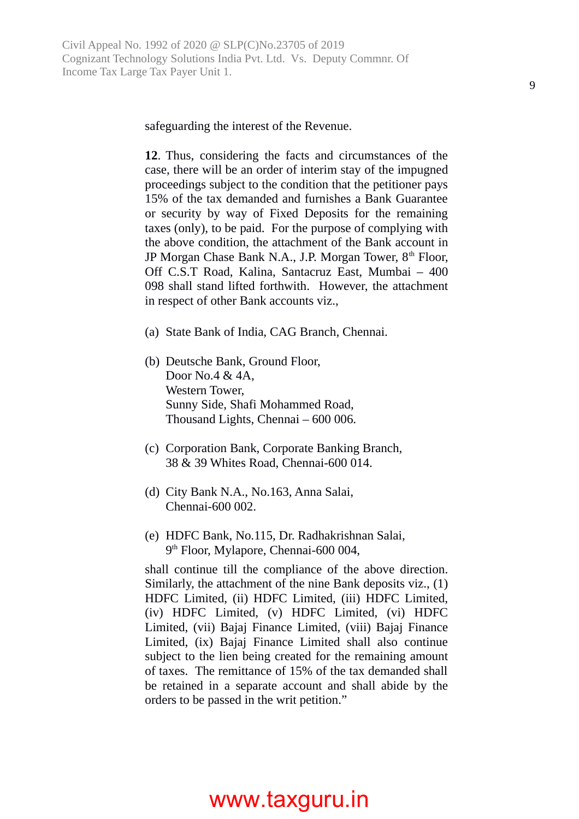safeguarding the interest of the Revenue.

**12**. Thus, considering the facts and circumstances of the case, there will be an order of interim stay of the impugned proceedings subject to the condition that the petitioner pays 15% of the tax demanded and furnishes a Bank Guarantee or security by way of Fixed Deposits for the remaining taxes (only), to be paid. For the purpose of complying with the above condition, the attachment of the Bank account in JP Morgan Chase Bank N.A., J.P. Morgan Tower, 8<sup>th</sup> Floor, Off C.S.T Road, Kalina, Santacruz East, Mumbai – 400 098 shall stand lifted forthwith. However, the attachment in respect of other Bank accounts viz.,

- (a) State Bank of India, CAG Branch, Chennai.
- (b) Deutsche Bank, Ground Floor, Door No.4 & 4A, Western Tower, Sunny Side, Shafi Mohammed Road, Thousand Lights, Chennai – 600 006.
- (c) Corporation Bank, Corporate Banking Branch, 38 & 39 Whites Road, Chennai-600 014.
- (d) City Bank N.A., No.163, Anna Salai, Chennai-600 002.
- (e) HDFC Bank, No.115, Dr. Radhakrishnan Salai, 9<sup>th</sup> Floor, Mylapore, Chennai-600 004,

shall continue till the compliance of the above direction. Similarly, the attachment of the nine Bank deposits viz., (1) HDFC Limited, (ii) HDFC Limited, (iii) HDFC Limited, (iv) HDFC Limited, (v) HDFC Limited, (vi) HDFC Limited, (vii) Bajaj Finance Limited, (viii) Bajaj Finance Limited, (ix) Bajaj Finance Limited shall also continue subject to the lien being created for the remaining amount of taxes. The remittance of 15% of the tax demanded shall be retained in a separate account and shall abide by the orders to be passed in the writ petition."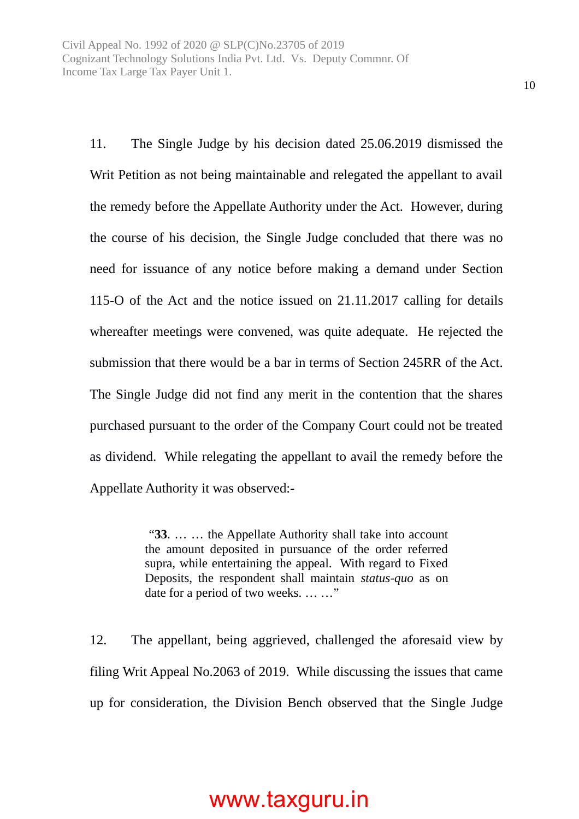11. The Single Judge by his decision dated 25.06.2019 dismissed the Writ Petition as not being maintainable and relegated the appellant to avail the remedy before the Appellate Authority under the Act. However, during the course of his decision, the Single Judge concluded that there was no need for issuance of any notice before making a demand under Section 115-O of the Act and the notice issued on 21.11.2017 calling for details whereafter meetings were convened, was quite adequate. He rejected the submission that there would be a bar in terms of Section 245RR of the Act. The Single Judge did not find any merit in the contention that the shares purchased pursuant to the order of the Company Court could not be treated as dividend. While relegating the appellant to avail the remedy before the Appellate Authority it was observed:-

> "**33**. … … the Appellate Authority shall take into account the amount deposited in pursuance of the order referred supra, while entertaining the appeal. With regard to Fixed Deposits, the respondent shall maintain *status-quo* as on date for a period of two weeks. … …"

12. The appellant, being aggrieved, challenged the aforesaid view by filing Writ Appeal No.2063 of 2019. While discussing the issues that came up for consideration, the Division Bench observed that the Single Judge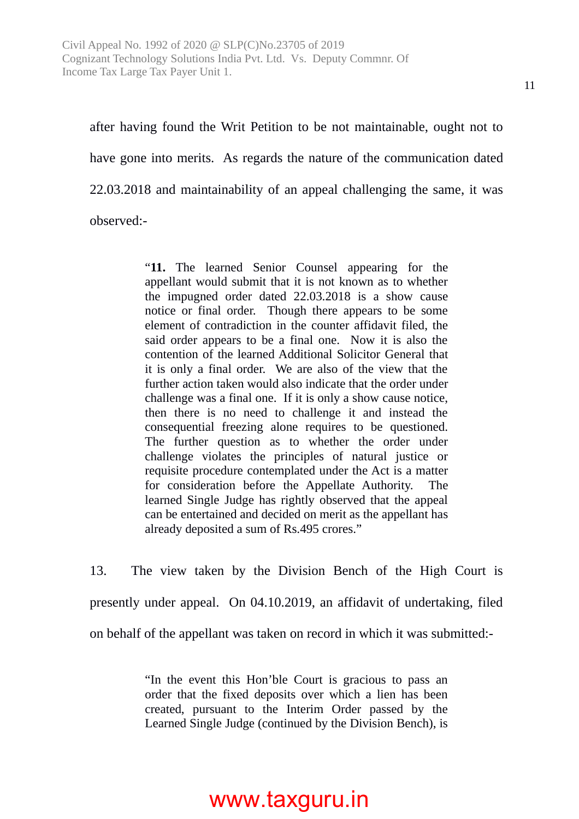after having found the Writ Petition to be not maintainable, ought not to have gone into merits. As regards the nature of the communication dated 22.03.2018 and maintainability of an appeal challenging the same, it was observed:-

> "**11.** The learned Senior Counsel appearing for the appellant would submit that it is not known as to whether the impugned order dated 22.03.2018 is a show cause notice or final order. Though there appears to be some element of contradiction in the counter affidavit filed, the said order appears to be a final one. Now it is also the contention of the learned Additional Solicitor General that it is only a final order. We are also of the view that the further action taken would also indicate that the order under challenge was a final one. If it is only a show cause notice, then there is no need to challenge it and instead the consequential freezing alone requires to be questioned. The further question as to whether the order under challenge violates the principles of natural justice or requisite procedure contemplated under the Act is a matter for consideration before the Appellate Authority. The learned Single Judge has rightly observed that the appeal can be entertained and decided on merit as the appellant has already deposited a sum of Rs.495 crores."

13. The view taken by the Division Bench of the High Court is presently under appeal. On 04.10.2019, an affidavit of undertaking, filed on behalf of the appellant was taken on record in which it was submitted:-

> "In the event this Hon'ble Court is gracious to pass an order that the fixed deposits over which a lien has been created, pursuant to the Interim Order passed by the Learned Single Judge (continued by the Division Bench), is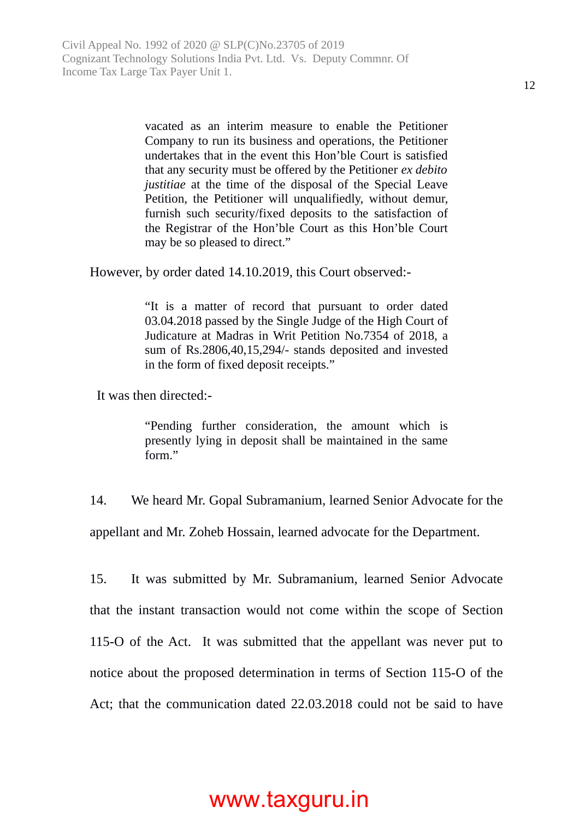vacated as an interim measure to enable the Petitioner Company to run its business and operations, the Petitioner undertakes that in the event this Hon'ble Court is satisfied that any security must be offered by the Petitioner *ex debito justitiae* at the time of the disposal of the Special Leave Petition, the Petitioner will unqualifiedly, without demur, furnish such security/fixed deposits to the satisfaction of the Registrar of the Hon'ble Court as this Hon'ble Court may be so pleased to direct."

However, by order dated 14.10.2019, this Court observed:-

"It is a matter of record that pursuant to order dated 03.04.2018 passed by the Single Judge of the High Court of Judicature at Madras in Writ Petition No.7354 of 2018, a sum of Rs.2806,40,15,294/- stands deposited and invested in the form of fixed deposit receipts."

It was then directed:-

"Pending further consideration, the amount which is presently lying in deposit shall be maintained in the same form."

14. We heard Mr. Gopal Subramanium, learned Senior Advocate for the appellant and Mr. Zoheb Hossain, learned advocate for the Department.

15. It was submitted by Mr. Subramanium, learned Senior Advocate that the instant transaction would not come within the scope of Section 115-O of the Act. It was submitted that the appellant was never put to notice about the proposed determination in terms of Section 115-O of the Act; that the communication dated 22.03.2018 could not be said to have

#### 12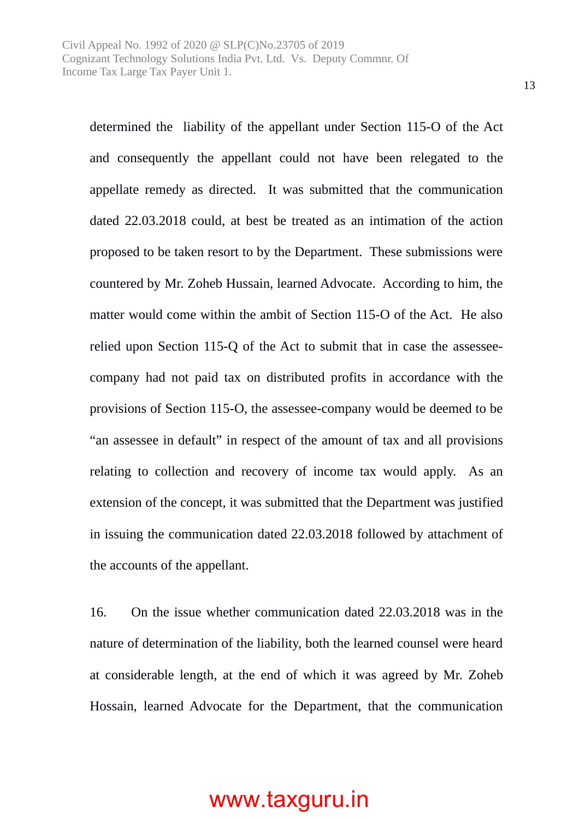determined the liability of the appellant under Section 115-O of the Act and consequently the appellant could not have been relegated to the appellate remedy as directed. It was submitted that the communication dated 22.03.2018 could, at best be treated as an intimation of the action proposed to be taken resort to by the Department. These submissions were countered by Mr. Zoheb Hussain, learned Advocate. According to him, the matter would come within the ambit of Section 115-O of the Act. He also relied upon Section 115-Q of the Act to submit that in case the assesseecompany had not paid tax on distributed profits in accordance with the provisions of Section 115-O, the assessee-company would be deemed to be "an assessee in default" in respect of the amount of tax and all provisions relating to collection and recovery of income tax would apply. As an extension of the concept, it was submitted that the Department was justified in issuing the communication dated 22.03.2018 followed by attachment of the accounts of the appellant.

16. On the issue whether communication dated 22.03.2018 was in the nature of determination of the liability, both the learned counsel were heard at considerable length, at the end of which it was agreed by Mr. Zoheb Hossain, learned Advocate for the Department, that the communication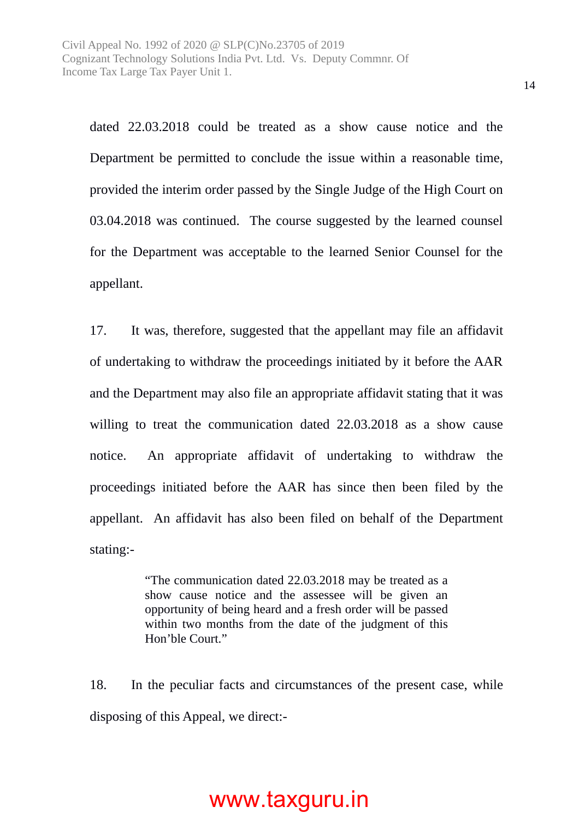dated 22.03.2018 could be treated as a show cause notice and the Department be permitted to conclude the issue within a reasonable time, provided the interim order passed by the Single Judge of the High Court on 03.04.2018 was continued. The course suggested by the learned counsel for the Department was acceptable to the learned Senior Counsel for the appellant.

17. It was, therefore, suggested that the appellant may file an affidavit of undertaking to withdraw the proceedings initiated by it before the AAR and the Department may also file an appropriate affidavit stating that it was willing to treat the communication dated 22.03.2018 as a show cause notice. An appropriate affidavit of undertaking to withdraw the proceedings initiated before the AAR has since then been filed by the appellant. An affidavit has also been filed on behalf of the Department stating:-

> "The communication dated 22.03.2018 may be treated as a show cause notice and the assessee will be given an opportunity of being heard and a fresh order will be passed within two months from the date of the judgment of this Hon'ble Court."

18. In the peculiar facts and circumstances of the present case, while disposing of this Appeal, we direct:-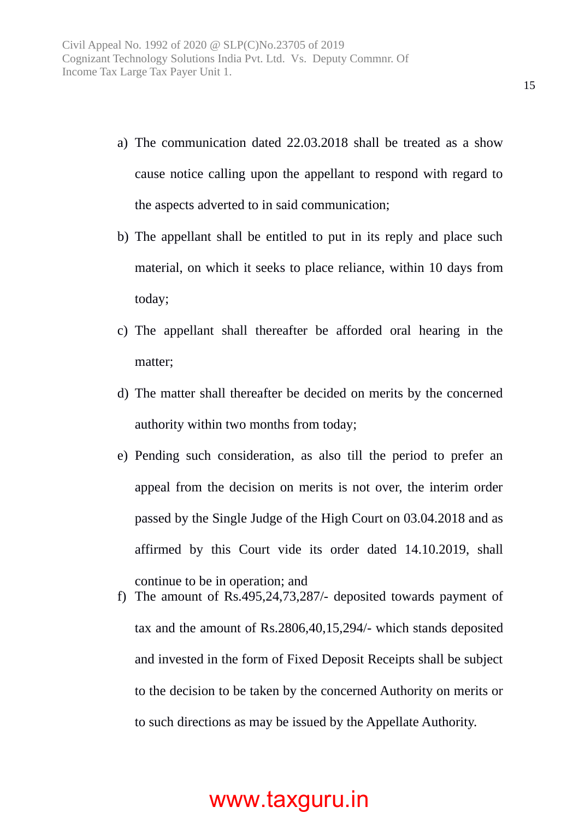- a) The communication dated 22.03.2018 shall be treated as a show cause notice calling upon the appellant to respond with regard to the aspects adverted to in said communication;
- b) The appellant shall be entitled to put in its reply and place such material, on which it seeks to place reliance, within 10 days from today;
- c) The appellant shall thereafter be afforded oral hearing in the matter;
- d) The matter shall thereafter be decided on merits by the concerned authority within two months from today;
- e) Pending such consideration, as also till the period to prefer an appeal from the decision on merits is not over, the interim order passed by the Single Judge of the High Court on 03.04.2018 and as affirmed by this Court vide its order dated 14.10.2019, shall continue to be in operation; and
- f) The amount of Rs.495,24,73,287/- deposited towards payment of tax and the amount of Rs.2806,40,15,294/- which stands deposited and invested in the form of Fixed Deposit Receipts shall be subject to the decision to be taken by the concerned Authority on merits or to such directions as may be issued by the Appellate Authority.